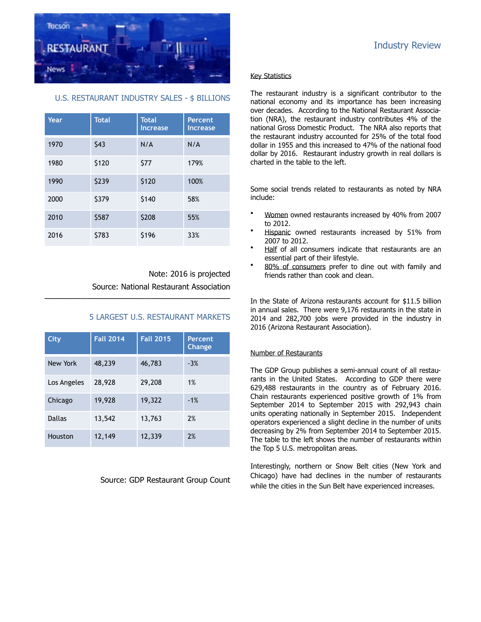

## U.S. RESTAURANT INDUSTRY SALES - \$ BILLIONS

| Year | <b>Total</b> | <b>Total</b><br><b>Increase</b> | Percent<br><b>Increase</b> |
|------|--------------|---------------------------------|----------------------------|
| 1970 | \$43         | N/A                             | N/A                        |
| 1980 | \$120        | \$77                            | 179%                       |
| 1990 | \$239        | \$120                           | 100%                       |
| 2000 | \$379        | \$140                           | 58%                        |
| 2010 | \$587        | \$208                           | 55%                        |
| 2016 | \$783        | \$196                           | 33%                        |

Note: 2016 is projected Source: National Restaurant Association

## 5 LARGEST U.S. RESTAURANT MARKETS

| City          | <b>Fall 2014</b> | <b>Fall 2015</b> | <b>Percent</b><br><b>Change</b> |
|---------------|------------------|------------------|---------------------------------|
| New York      | 48,239           | 46,783           | $-3%$                           |
| Los Angeles   | 28,928           | 29,208           | 1%                              |
| Chicago       | 19,928           | 19,322           | $-1%$                           |
| <b>Dallas</b> | 13,542           | 13,763           | 2%                              |
| Houston       | 12,149           | 12,339           | 2%                              |

——————————————————————————

Source: GDP Restaurant Group Count

# Industry Review

#### Key Statistics

The restaurant industry is a significant contributor to the national economy and its importance has been increasing over decades. According to the National Restaurant Association (NRA), the restaurant industry contributes 4% of the national Gross Domestic Product. The NRA also reports that the restaurant industry accounted for 25% of the total food dollar in 1955 and this increased to 47% of the national food dollar by 2016. Restaurant industry growth in real dollars is charted in the table to the left.

Some social trends related to restaurants as noted by NRA include:

- Women owned restaurants increased by 40% from 2007 to 2012.
- Hispanic owned restaurants increased by 51% from 2007 to 2012.
- Half of all consumers indicate that restaurants are an essential part of their lifestyle.
- 80% of consumers prefer to dine out with family and friends rather than cook and clean.

In the State of Arizona restaurants account for \$11.5 billion in annual sales. There were 9,176 restaurants in the state in 2014 and 282,700 jobs were provided in the industry in 2016 (Arizona Restaurant Association).

#### Number of Restaurants

The GDP Group publishes a semi-annual count of all restaurants in the United States. According to GDP there were 629,488 restaurants in the country as of February 2016. Chain restaurants experienced positive growth of 1% from September 2014 to September 2015 with 292,943 chain units operating nationally in September 2015. Independent operators experienced a slight decline in the number of units decreasing by 2% from September 2014 to September 2015. The table to the left shows the number of restaurants within the Top 5 U.S. metropolitan areas.

Interestingly, northern or Snow Belt cities (New York and Chicago) have had declines in the number of restaurants while the cities in the Sun Belt have experienced increases.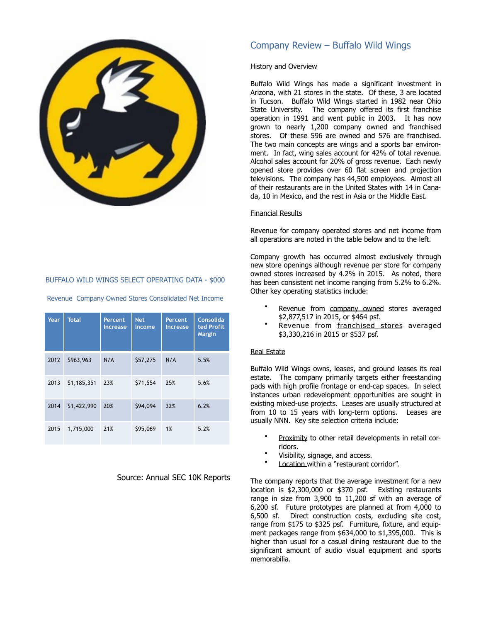

#### BUFFALO WILD WINGS SELECT OPERATING DATA - \$000

| Year | <b>Total</b> | Percent<br><b>Increase</b> | <b>Net</b><br>Income | Percent<br><b>Increase</b> | <b>Consolida</b><br>ted Profit<br><b>Margin</b> |
|------|--------------|----------------------------|----------------------|----------------------------|-------------------------------------------------|
| 2012 | \$963,963    | N/A                        | \$57,275             | N/A                        | 5.5%                                            |
| 2013 | \$1,185,351  | 23%                        | \$71,554             | 25%                        | 5.6%                                            |
| 2014 | \$1,422,990  | 20%                        | \$94,094             | 32%                        | 6.2%                                            |
| 2015 | 1,715,000    | 21%                        | \$95,069             | 1%                         | 5.2%                                            |

Revenue Company Owned Stores Consolidated Net Income

#### Source: Annual SEC 10K Reports

# Company Review – Buffalo Wild Wings

#### History and Overview

Buffalo Wild Wings has made a significant investment in Arizona, with 21 stores in the state. Of these, 3 are located in Tucson. Buffalo Wild Wings started in 1982 near Ohio State University. The company offered its first franchise operation in 1991 and went public in 2003. It has now grown to nearly 1,200 company owned and franchised stores. Of these 596 are owned and 576 are franchised. The two main concepts are wings and a sports bar environment. In fact, wing sales account for 42% of total revenue. Alcohol sales account for 20% of gross revenue. Each newly opened store provides over 60 flat screen and projection televisions. The company has 44,500 employees. Almost all of their restaurants are in the United States with 14 in Canada, 10 in Mexico, and the rest in Asia or the Middle East.

#### Financial Results

Revenue for company operated stores and net income from all operations are noted in the table below and to the left.

Company growth has occurred almost exclusively through new store openings although revenue per store for company owned stores increased by 4.2% in 2015. As noted, there has been consistent net income ranging from 5.2% to 6.2%. Other key operating statistics include:

- Revenue from company owned stores averaged \$2,877,517 in 2015, or \$464 psf.
- Revenue from franchised stores averaged \$3,330,216 in 2015 or \$537 psf.

#### Real Estate

Buffalo Wild Wings owns, leases, and ground leases its real estate. The company primarily targets either freestanding pads with high profile frontage or end-cap spaces. In select instances urban redevelopment opportunities are sought in existing mixed-use projects. Leases are usually structured at from 10 to 15 years with long-term options. Leases are usually NNN. Key site selection criteria include:

- Proximity to other retail developments in retail corridors.
- Visibility, signage, and access.
- Location within a "restaurant corridor".

The company reports that the average investment for a new location is \$2,300,000 or \$370 psf. Existing restaurants range in size from 3,900 to 11,200 sf with an average of 6,200 sf. Future prototypes are planned at from 4,000 to 6,500 sf. Direct construction costs, excluding site cost, range from \$175 to \$325 psf. Furniture, fixture, and equipment packages range from \$634,000 to \$1,395,000. This is higher than usual for a casual dining restaurant due to the significant amount of audio visual equipment and sports memorabilia.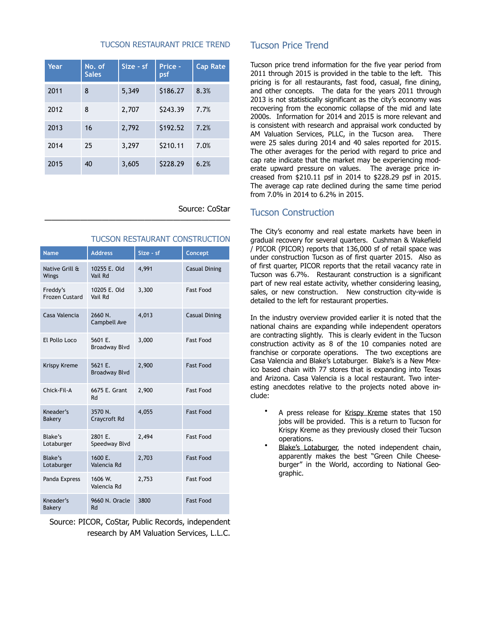#### TUCSON RESTAURANT PRICE TREND

| Year | No. of<br><b>Sales</b> | $Size - sf$ | Price -<br>psf | <b>Cap Rate</b> |
|------|------------------------|-------------|----------------|-----------------|
| 2011 | 8                      | 5,349       | \$186.27       | 8.3%            |
| 2012 | 8                      | 2,707       | \$243.39       | 7.7%            |
| 2013 | 16                     | 2,792       | \$192.52       | 7.2%            |
| 2014 | 25                     | 3,297       | \$210.11       | 7.0%            |
| 2015 | 40                     | 3,605       | \$228.29       | 6.2%            |

——————————————————————————

## Source: CoStar

#### TUCSON RESTAURANT CONSTRUCTION

| <b>Name</b>                       | <b>Address</b>                  | Size - sf | Concept              |
|-----------------------------------|---------------------------------|-----------|----------------------|
| Native Grill &<br>Wings           | 10255 E. Old<br>Vail Rd         | 4,991     | <b>Casual Dining</b> |
| Freddy's<br><b>Frozen Custard</b> | 10205 E. Old<br>Vail Rd         | 3,300     | <b>Fast Food</b>     |
| Casa Valencia                     | 2660 N.<br>Campbell Ave         | 4,013     | Casual Dining        |
| El Pollo Loco                     | 5601 F.<br>Broadway Blvd        | 3,000     | <b>Fast Food</b>     |
| <b>Krispy Kreme</b>               | 5621 E.<br><b>Broadway Blvd</b> | 2,900     | <b>Fast Food</b>     |
| Chick-Fil-A                       | 6675 E. Grant<br>Rd             | 2,900     | <b>Fast Food</b>     |
| Kneader's<br>Bakery               | 3570 N.<br>Craycroft Rd         | 4,055     | <b>Fast Food</b>     |
| Blake's<br>Lotaburger             | 2801 F.<br>Speedway Blvd        | 2,494     | <b>Fast Food</b>     |
| Blake's<br>Lotaburger             | 1600 E.<br>Valencia Rd          | 2,703     | <b>Fast Food</b>     |
| Panda Express                     | 1606 W.<br>Valencia Rd          | 2,753     | <b>Fast Food</b>     |
| Kneader's<br>Bakery               | 9660 N. Oracle<br>Rd            | 3800      | <b>Fast Food</b>     |

Source: PICOR, CoStar, Public Records, independent research by AM Valuation Services, L.L.C.

# Tucson Price Trend

Tucson price trend information for the five year period from 2011 through 2015 is provided in the table to the left. This pricing is for all restaurants, fast food, casual, fine dining, and other concepts. The data for the years 2011 through 2013 is not statistically significant as the city's economy was recovering from the economic collapse of the mid and late 2000s. Information for 2014 and 2015 is more relevant and is consistent with research and appraisal work conducted by AM Valuation Services, PLLC, in the Tucson area. There were 25 sales during 2014 and 40 sales reported for 2015. The other averages for the period with regard to price and cap rate indicate that the market may be experiencing moderate upward pressure on values. The average price increased from \$210.11 psf in 2014 to \$228.29 psf in 2015. The average cap rate declined during the same time period from 7.0% in 2014 to 6.2% in 2015.

# Tucson Construction

The City's economy and real estate markets have been in gradual recovery for several quarters. Cushman & Wakefield / PICOR (PICOR) reports that 136,000 sf of retail space was under construction Tucson as of first quarter 2015. Also as of first quarter, PICOR reports that the retail vacancy rate in Tucson was 6.7%. Restaurant construction is a significant part of new real estate activity, whether considering leasing, sales, or new construction. New construction city-wide is detailed to the left for restaurant properties.

In the industry overview provided earlier it is noted that the national chains are expanding while independent operators are contracting slightly. This is clearly evident in the Tucson construction activity as 8 of the 10 companies noted are franchise or corporate operations. The two exceptions are Casa Valencia and Blake's Lotaburger. Blake's is a New Mexico based chain with 77 stores that is expanding into Texas and Arizona. Casa Valencia is a local restaurant. Two interesting anecdotes relative to the projects noted above include:

- A press release for Krispy Kreme states that 150 jobs will be provided. This is a return to Tucson for Krispy Kreme as they previously closed their Tucson operations.
- Blake's Lotaburger, the noted independent chain, apparently makes the best "Green Chile Cheeseburger" in the World, according to National Geographic.